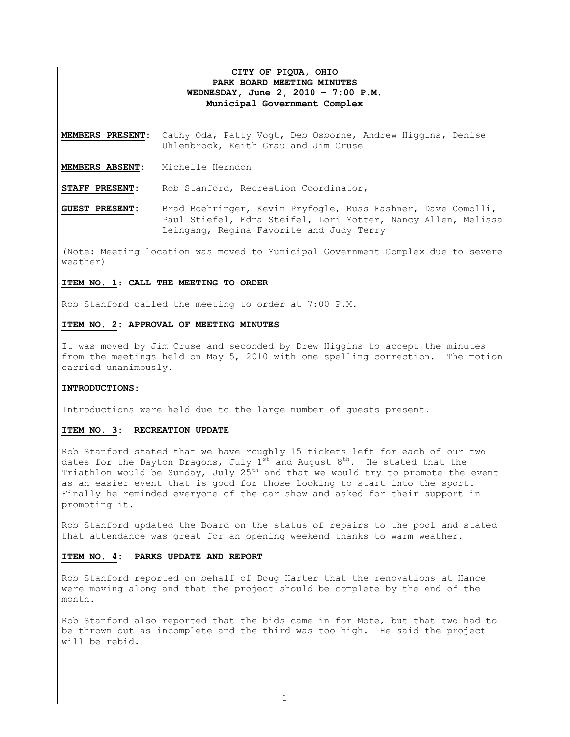# **CITY OF PIQUA, OHIO PARK BOARD MEETING MINUTES WEDNESDAY, June 2, 2010 – 7:00 P.M. Municipal Government Complex**

**MEMBERS PRESENT:** Cathy Oda, Patty Vogt, Deb Osborne, Andrew Higgins, Denise Uhlenbrock, Keith Grau and Jim Cruse

**MEMBERS ABSENT:** Michelle Herndon

**STAFF PRESENT:** Rob Stanford, Recreation Coordinator,

**GUEST PRESENT:** Brad Boehringer, Kevin Pryfogle, Russ Fashner, Dave Comolli, Paul Stiefel, Edna Steifel, Lori Motter, Nancy Allen, Melissa Leingang, Regina Favorite and Judy Terry

(Note: Meeting location was moved to Municipal Government Complex due to severe weather)

#### **ITEM NO. 1: CALL THE MEETING TO ORDER**

Rob Stanford called the meeting to order at 7:00 P.M.

### **ITEM NO. 2: APPROVAL OF MEETING MINUTES**

It was moved by Jim Cruse and seconded by Drew Higgins to accept the minutes from the meetings held on May 5, 2010 with one spelling correction. The motion carried unanimously.

#### **INTRODUCTIONS:**

Introductions were held due to the large number of guests present.

## **ITEM NO. 3: RECREATION UPDATE**

Rob Stanford stated that we have roughly 15 tickets left for each of our two dates for the Dayton Dragons, July  $1^{st}$  and August  $8^{th}$ . He stated that the Triathlon would be Sunday, July  $25<sup>th</sup>$  and that we would try to promote the event as an easier event that is good for those looking to start into the sport. Finally he reminded everyone of the car show and asked for their support in promoting it.

Rob Stanford updated the Board on the status of repairs to the pool and stated that attendance was great for an opening weekend thanks to warm weather.

### **ITEM NO. 4: PARKS UPDATE AND REPORT**

Rob Stanford reported on behalf of Doug Harter that the renovations at Hance were moving along and that the project should be complete by the end of the month.

Rob Stanford also reported that the bids came in for Mote, but that two had to be thrown out as incomplete and the third was too high. He said the project will be rebid.